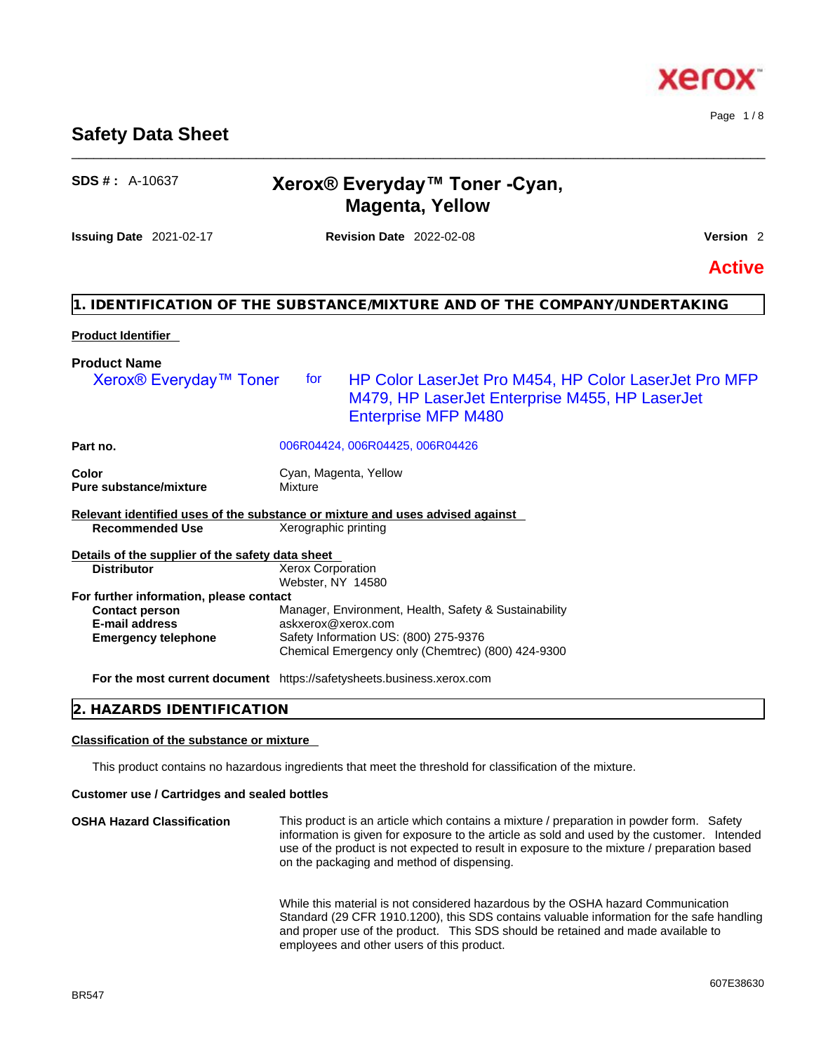BR547

# **Safety Data Sheet**

# **SDS # :** A-10637 **Xerox® Everyday™ Toner -Cyan, Magenta, Yellow**

\_\_\_\_\_\_\_\_\_\_\_\_\_\_\_\_\_\_\_\_\_\_\_\_\_\_\_\_\_\_\_\_\_\_\_\_\_\_\_\_\_\_\_\_\_\_\_\_\_\_\_\_\_\_\_\_\_\_\_\_\_\_\_\_\_\_\_\_\_\_\_\_\_\_\_\_\_\_\_\_\_\_\_\_\_\_\_\_\_\_\_\_\_\_

**Issuing Date** 2021-02-17 **Revision Date** 2022-02-08 **Version** 2

**Active**

# **1. IDENTIFICATION OF THE SUBSTANCE/MIXTURE AND OF THE COMPANY/UNDERTAKING**

# **Product Identifier**

| <b>Product Name</b>                                                           |                       |                                                                                                                                       |
|-------------------------------------------------------------------------------|-----------------------|---------------------------------------------------------------------------------------------------------------------------------------|
| Xerox <sup>®</sup> Everyday <sup>™</sup> Toner                                | tor                   | HP Color LaserJet Pro M454, HP Color LaserJet Pro MFP<br>M479, HP LaserJet Enterprise M455, HP LaserJet<br><b>Enterprise MFP M480</b> |
| Part no.                                                                      |                       | 006R04424, 006R04425, 006R04426                                                                                                       |
| <b>Color</b>                                                                  | Cyan, Magenta, Yellow |                                                                                                                                       |
| <b>Pure substance/mixture</b>                                                 | Mixture               |                                                                                                                                       |
| Relevant identified uses of the substance or mixture and uses advised against |                       |                                                                                                                                       |
| <b>Recommended Use</b>                                                        | Xerographic printing  |                                                                                                                                       |
| Details of the supplier of the safety data sheet                              |                       |                                                                                                                                       |
| <b>Distributor</b>                                                            | Xerox Corporation     |                                                                                                                                       |
|                                                                               | Webster, NY 14580     |                                                                                                                                       |
| For further information, please contact                                       |                       |                                                                                                                                       |
| <b>Contact person</b>                                                         |                       | Manager, Environment, Health, Safety & Sustainability                                                                                 |
| <b>E-mail address</b>                                                         | askxerox@xerox.com    |                                                                                                                                       |
| <b>Emergency telephone</b>                                                    |                       | Safety Information US: (800) 275-9376                                                                                                 |
|                                                                               |                       | Chemical Emergency only (Chemtrec) (800) 424-9300                                                                                     |
| For the most current document https://safetysheets.business.xerox.com         |                       |                                                                                                                                       |
|                                                                               |                       |                                                                                                                                       |

# **2. HAZARDS IDENTIFICATION**

### **Classification of the substance or mixture**

This product contains no hazardous ingredients that meet the threshold for classification of the mixture.

### **Customer use / Cartridges and sealed bottles**

**OSHA Hazard Classification** This product is an article which contains a mixture / preparation in powder form. Safety information is given for exposure to the article as sold and used by the customer. Intended use of the product is not expected to result in exposure to the mixture / preparation based on the packaging and method of dispensing.

While this material is not considered hazardous by the OSHA hazard Communication Standard (29 CFR 1910.1200), this SDS contains valuable information for the safe handling and proper use of the product. This SDS should be retained and made available to employees and other users of this product.



Page 1 / 8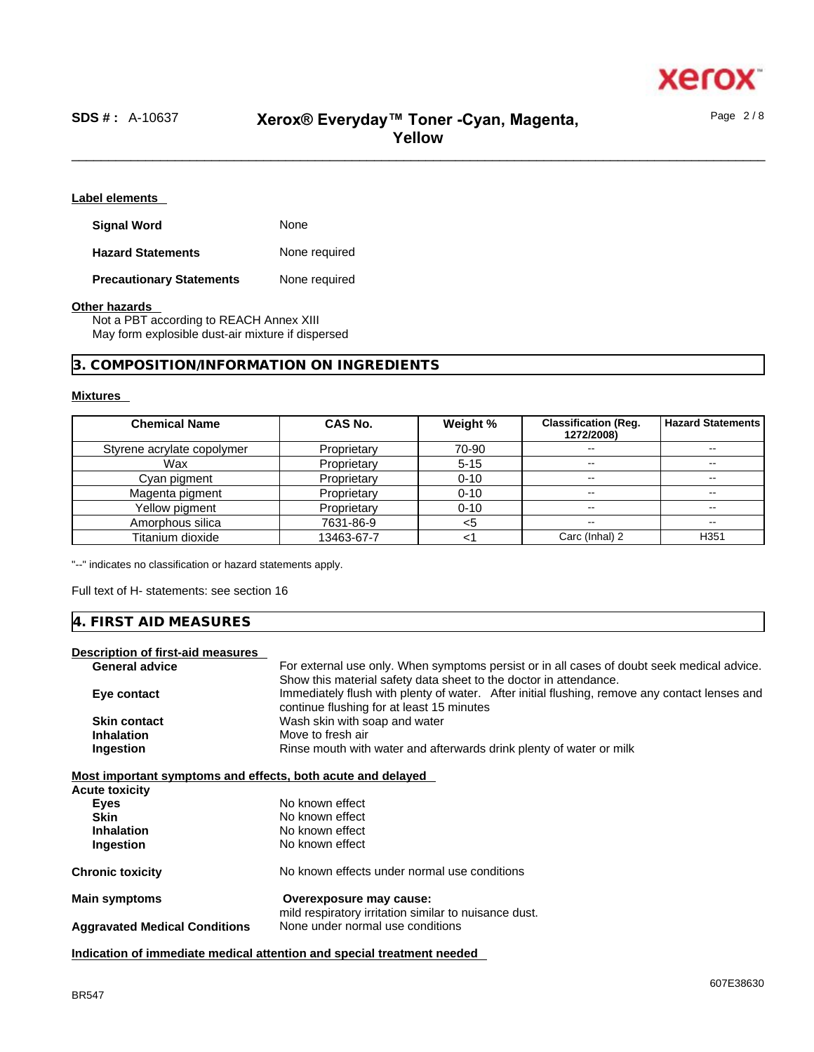

Page 2 / 8

# \_\_\_\_\_\_\_\_\_\_\_\_\_\_\_\_\_\_\_\_\_\_\_\_\_\_\_\_\_\_\_\_\_\_\_\_\_\_\_\_\_\_\_\_\_\_\_\_\_\_\_\_\_\_\_\_\_\_\_\_\_\_\_\_\_\_\_\_\_\_\_\_\_\_\_\_\_\_\_\_\_\_\_\_\_\_\_\_\_\_\_\_\_\_ **SDS # :** A-10637 **Xerox® Everyday™ Toner -Cyan, Magenta, Yellow**

**Label elements** 

| <b>Signal Word</b>              | None          |
|---------------------------------|---------------|
| <b>Hazard Statements</b>        | None required |
| <b>Precautionary Statements</b> | None required |

# **Other hazards**

Not a PBT according to REACH Annex XIII May form explosible dust-air mixture if dispersed

# **3. COMPOSITION/INFORMATION ON INGREDIENTS**

### **Mixtures**

| <b>Chemical Name</b>       | CAS No.     | Weight % | <b>Classification (Reg.</b><br>1272/2008) | <b>Hazard Statements</b> |
|----------------------------|-------------|----------|-------------------------------------------|--------------------------|
| Styrene acrylate copolymer | Proprietary | 70-90    | $- -$                                     |                          |
| Wax                        | Proprietary | $5 - 15$ | $\sim$                                    | $- -$                    |
| Cyan pigment               | Proprietary | $0 - 10$ | $- -$                                     | --                       |
| Magenta pigment            | Proprietary | $0 - 10$ | --                                        | --                       |
| Yellow pigment             | Proprietary | $0 - 10$ | --                                        | --                       |
| Amorphous silica           | 7631-86-9   | <5       | --                                        | --                       |
| Titanium dioxide           | 13463-67-7  |          | Carc (Inhal) 2                            | H <sub>351</sub>         |

"--" indicates no classification or hazard statements apply.

Full text of H- statements: see section 16

# **4. FIRST AID MEASURES**

# **Description of first-aid measures**

| <b>General advice</b>                                       | For external use only. When symptoms persist or in all cases of doubt seek medical advice.    |
|-------------------------------------------------------------|-----------------------------------------------------------------------------------------------|
|                                                             | Show this material safety data sheet to the doctor in attendance.                             |
| Eye contact                                                 | Immediately flush with plenty of water. After initial flushing, remove any contact lenses and |
|                                                             | continue flushing for at least 15 minutes                                                     |
| <b>Skin contact</b>                                         | Wash skin with soap and water                                                                 |
| <b>Inhalation</b>                                           | Move to fresh air                                                                             |
| Ingestion                                                   | Rinse mouth with water and afterwards drink plenty of water or milk                           |
|                                                             |                                                                                               |
| Most important symptoms and effects, both acute and delayed |                                                                                               |
| Acute toxicity                                              |                                                                                               |
| <b>Eyes</b>                                                 | No known effect                                                                               |
| <b>Skin</b>                                                 | No known effect                                                                               |
| <b>Inhalation</b>                                           | No known effect                                                                               |
| Ingestion                                                   | No known effect                                                                               |
| Chronic toxicity                                            | No known effects under normal use conditions                                                  |
| Main symptoms                                               | Overexposure may cause:                                                                       |
|                                                             | mild respiratory irritation similar to nuisance dust.                                         |
| <b>Aggravated Medical Conditions</b>                        | None under normal use conditions                                                              |
|                                                             |                                                                                               |

**Indication of immediate medical attention and special treatment needed**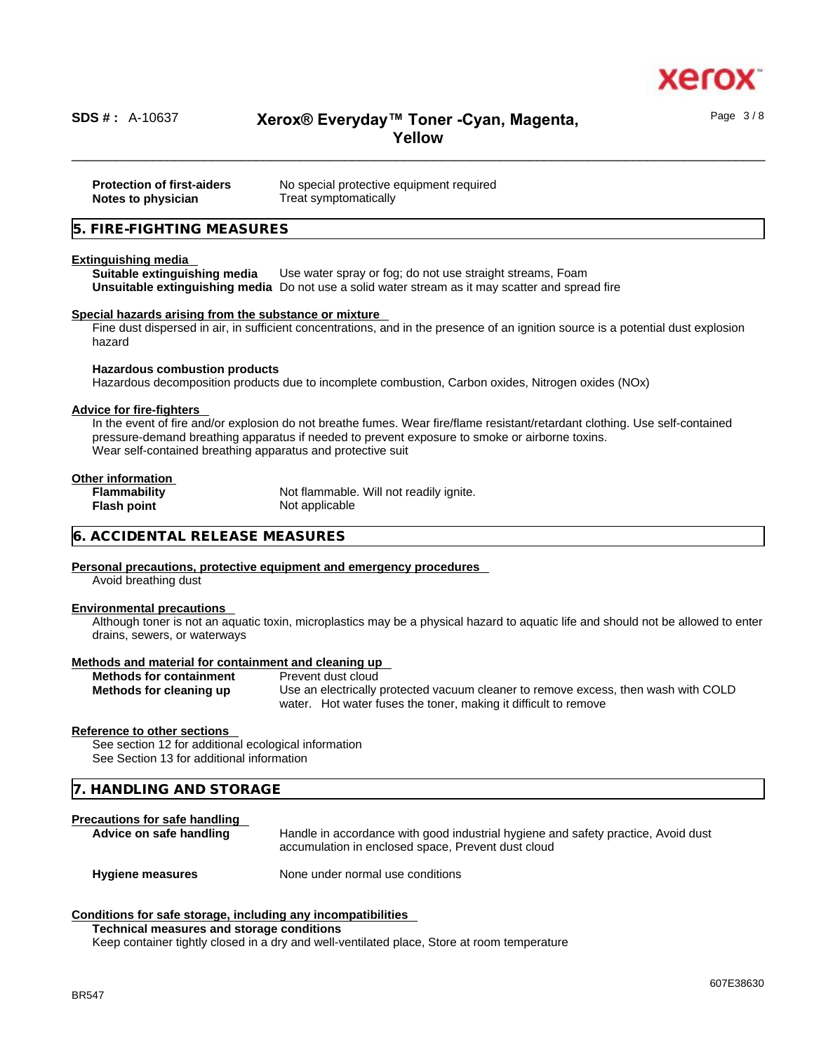

# \_\_\_\_\_\_\_\_\_\_\_\_\_\_\_\_\_\_\_\_\_\_\_\_\_\_\_\_\_\_\_\_\_\_\_\_\_\_\_\_\_\_\_\_\_\_\_\_\_\_\_\_\_\_\_\_\_\_\_\_\_\_\_\_\_\_\_\_\_\_\_\_\_\_\_\_\_\_\_\_\_\_\_\_\_\_\_\_\_\_\_\_\_\_ **SDS # :** A-10637 **Xerox® Everyday™ Toner -Cyan, Magenta, Yellow**

| <b>Protection of first-aiders</b> | No special protective equipment required |
|-----------------------------------|------------------------------------------|
| Notes to physician                | Treat symptomatically                    |

# **5. FIRE-FIGHTING MEASURES**

### **Extinguishing media**

**Suitable extinguishing media** Use water spray or fog; do not use straight streams, Foam **Unsuitable extinguishing media** Do not use a solid water stream as it may scatterand spread fire

### **Special hazards arising from the substance or mixture**

Fine dust dispersed in air, in sufficient concentrations, and in the presence of an ignition source is a potential dust explosion hazard

### **Hazardous combustion products**

Hazardous decomposition products due to incomplete combustion, Carbon oxides, Nitrogen oxides (NOx)

### **Advice for fire-fighters**

In the event of fire and/or explosion do not breathe fumes. Wear fire/flame resistant/retardant clothing. Use self-contained pressure-demand breathing apparatus if needed to prevent exposure to smoke or airborne toxins. Wear self-contained breathing apparatus and protective suit

## **Other information**

| <b>Flammability</b> | Not flammable. Will not readily ignite. |
|---------------------|-----------------------------------------|
| <b>Flash point</b>  | Not applicable                          |

# **6. ACCIDENTAL RELEASE MEASURES**

# **Personal precautions, protective equipment and emergency procedures**

Avoid breathing dust

### **Environmental precautions**

Although toner is not an aquatic toxin, microplastics may be a physical hazard to aquatic life and should not be allowed to enter drains, sewers, or waterways

### **Methods and material for containment and cleaning up**

| <b>Methods for containment</b> | Prev |
|--------------------------------|------|
| Methods for cleaning up        | Use  |

*f* ent dust cloud **Methods for cleaning up** Use an electrically protected vacuum cleaner to remove excess, then wash with COLD water. Hot water fuses the toner, making it difficult to remove

### **Reference to other sections**

See section 12 for additional ecological information See Section 13 for additional information

# **7. HANDLING AND STORAGE**

# **Precautions for safe handling**

**Advice on safe handling** Handle in accordance with good industrial hygiene and safety practice, Avoid dust accumulation in enclosed space, Prevent dust cloud

**Hygiene measures** None under normal use conditions

### **Conditions for safe storage, including any incompatibilities**

**Technical measures and storage conditions**

Keep container tightly closed in a dry and well-ventilated place, Store at room temperature

Page 3 / 8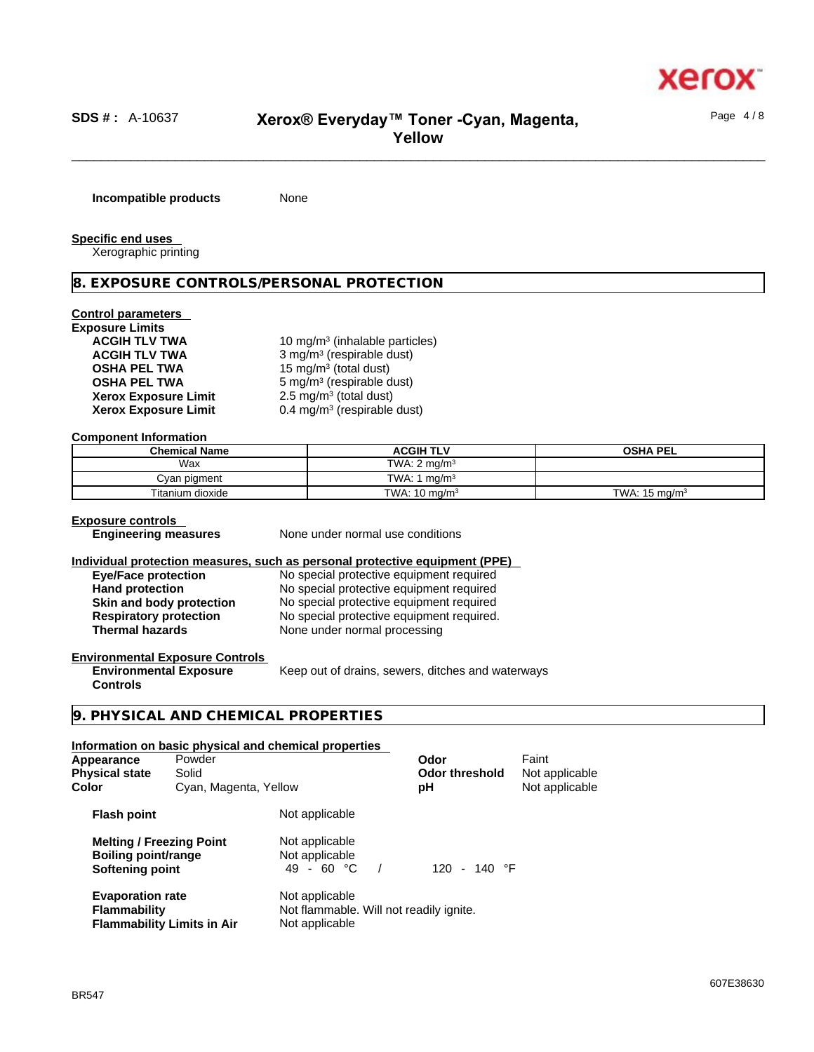

# \_\_\_\_\_\_\_\_\_\_\_\_\_\_\_\_\_\_\_\_\_\_\_\_\_\_\_\_\_\_\_\_\_\_\_\_\_\_\_\_\_\_\_\_\_\_\_\_\_\_\_\_\_\_\_\_\_\_\_\_\_\_\_\_\_\_\_\_\_\_\_\_\_\_\_\_\_\_\_\_\_\_\_\_\_\_\_\_\_\_\_\_\_\_ **SDS # :** A-10637 **Xerox® Everyday™ Toner -Cyan, Magenta, Yellow**

**Incompatible products** None

**Specific end uses** 

Xerographic printing

# **8. EXPOSURE CONTROLS/PERSONAL PROTECTION**

# **Control parameters**

| <b>Exposure Limits</b>      |                                            |
|-----------------------------|--------------------------------------------|
| <b>ACGIH TLV TWA</b>        | 10 mg/m <sup>3</sup> (inhalable particles) |
| <b>ACGIH TLV TWA</b>        | 3 mg/m <sup>3</sup> (respirable dust)      |
| <b>OSHA PEL TWA</b>         | 15 mg/m <sup>3</sup> (total dust)          |
| <b>OSHA PEL TWA</b>         | 5 mg/m <sup>3</sup> (respirable dust)      |
| <b>Xerox Exposure Limit</b> | $2.5 \text{ mg/m}^3$ (total dust)          |
| <b>Xerox Exposure Limit</b> | 0.4 mg/m <sup>3</sup> (respirable dust)    |

# **Component Information**

| <b>Chemical Name</b> | <b>ACGIH TLV</b>             | <b>OSHA PEL</b>          |
|----------------------|------------------------------|--------------------------|
| Wax                  | TWA: $2 \text{ mg/m}^3$      |                          |
| Cyan pigment         | TWA: 1.<br>ma/m <sup>3</sup> |                          |
| Titanium dioxide     | TWA: $10 \text{ mg/m}^3$     | TWA: $15 \text{ mg/m}^3$ |

### **Exposure controls**

**Engineering measures** None under normal use conditions

# **Individual protection measures, such as personal protective equipment (PPE)**

| <b>Eye/Face protection</b>    | No special protective equipment required  |
|-------------------------------|-------------------------------------------|
| <b>Hand protection</b>        | No special protective equipment required  |
| Skin and body protection      | No special protective equipment required  |
| <b>Respiratory protection</b> | No special protective equipment required. |
| <b>Thermal hazards</b>        | None under normal processing              |

# **Environmental Exposure Controls**

**Environmental Exposure Controls**  Keep out of drains, sewers, ditches and waterways

# **9. PHYSICAL AND CHEMICAL PROPERTIES**

# **Information on basic physical and chemical properties Melting / Freezing Point** Not applicable **Boiling point/range** Not applicable<br> **Softening point** 49 - 60 °C / **Softening point 49 - 60 °C** / 120 - 140 °F **Evaporation rate** Not applicable **Flammability** Not flammable. Will not readily ignite. **Appearance** Powder **Consumerance Powder Consumer Powder Consumer Consumer Consumer Paint Powder Paint Powder Powder<br>
<b>Physical state** Solid **Consumer Consumer Consumer Consumer Consumer Consumer Consumer Powder Powder Pow Physical Ddor** threshold **Color Cyan, Magenta, Yellow pH** Not applicable **Flash point** Not applicable

**Flammability Limits in Air** Not applicable

Page 4 / 8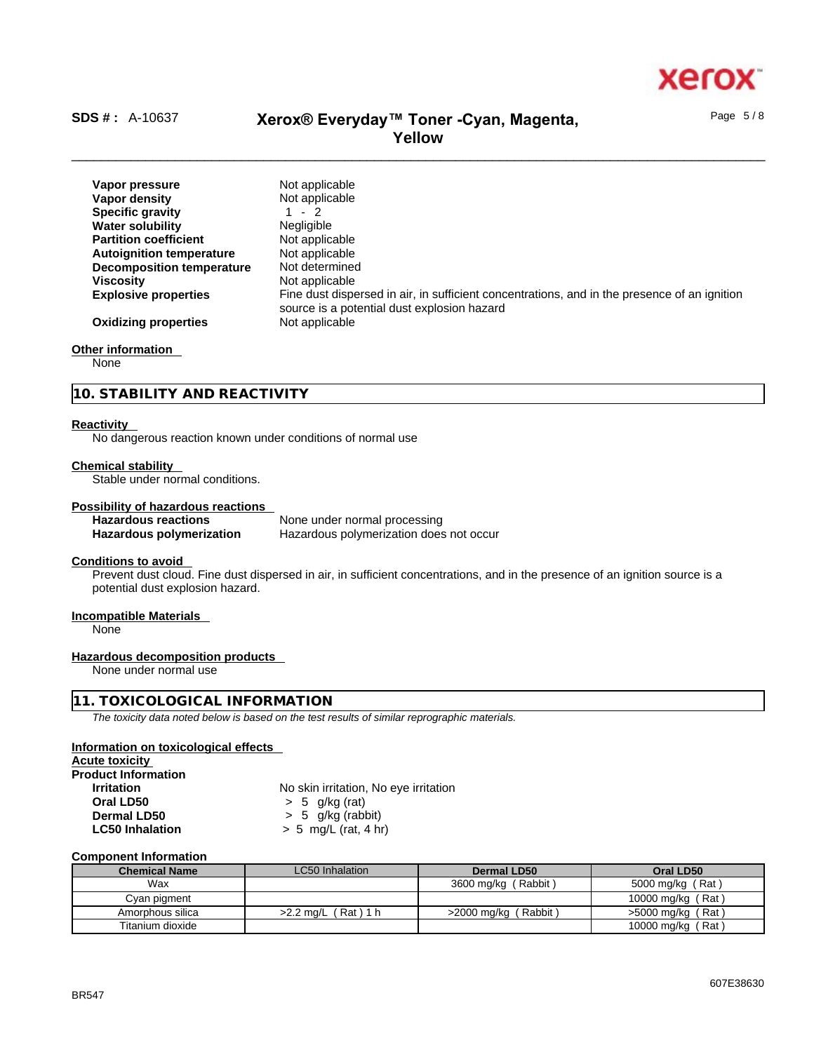

Page 5 / 8

# \_\_\_\_\_\_\_\_\_\_\_\_\_\_\_\_\_\_\_\_\_\_\_\_\_\_\_\_\_\_\_\_\_\_\_\_\_\_\_\_\_\_\_\_\_\_\_\_\_\_\_\_\_\_\_\_\_\_\_\_\_\_\_\_\_\_\_\_\_\_\_\_\_\_\_\_\_\_\_\_\_\_\_\_\_\_\_\_\_\_\_\_\_\_ **SDS # :** A-10637 **Xerox® Everyday™ Toner -Cyan, Magenta, Yellow**

| Vapor pressure                   | Not applicable                                                                               |
|----------------------------------|----------------------------------------------------------------------------------------------|
| Vapor densitv                    | Not applicable                                                                               |
| <b>Specific gravity</b>          | $-2$                                                                                         |
| <b>Water solubility</b>          | <b>Negligible</b>                                                                            |
| <b>Partition coefficient</b>     | Not applicable                                                                               |
| <b>Autoignition temperature</b>  | Not applicable                                                                               |
| <b>Decomposition temperature</b> | Not determined                                                                               |
| <b>Viscosity</b>                 | Not applicable                                                                               |
| <b>Explosive properties</b>      | Fine dust dispersed in air, in sufficient concentrations, and in the presence of an ignition |
|                                  | source is a potential dust explosion hazard                                                  |
| <b>Oxidizing properties</b>      | Not applicable                                                                               |
|                                  |                                                                                              |

### **Other information**

None

# **10. STABILITY AND REACTIVITY**

### **Reactivity**

No dangerous reaction known under conditions of normal use

### **Chemical stability**

Stable under normal conditions.

# **Possibility of hazardous reactions**

**Hazardous reactions**<br> **Hazardous polymerization**<br>
Hazardous polymerization<br>
Hazardous polymerization does **Hazardous polymerization does not occur** 

## **Conditions to avoid**

Prevent dust cloud. Fine dust dispersed in air, in sufficient concentrations, and in the presence of an ignition source is a potential dust explosion hazard.

# **Incompatible Materials**

None

# **Hazardous decomposition products**

None under normal use

# **11. TOXICOLOGICAL INFORMATION**

*The toxicity data noted below is based on the test results of similar reprographic materials.* 

### **Information on toxicological effects**

**Acute toxicity Product Inf** 

| roquct information     |                                       |
|------------------------|---------------------------------------|
| <b>Irritation</b>      | No skin irritation, No eye irritation |
| Oral LD50              | $> 5$ g/kg (rat)                      |
| Dermal LD50            | $> 5$ g/kg (rabbit)                   |
| <b>LC50 Inhalation</b> | $> 5$ mg/L (rat, 4 hr)                |

### **Component Information**

| <b>Chemical Name</b> | LC50 Inhalation         | Dermal LD50             | Oral LD50           |
|----------------------|-------------------------|-------------------------|---------------------|
| Wax                  |                         | 3600 mg/kg (Rabbit)     | 5000 mg/kg (Rat)    |
| Cyan pigment         |                         |                         | 10000 mg/kg (Rat)   |
| Amorphous silica     | (Rat)1 h<br>$>2.2$ ma/L | (Rabbit)<br>>2000 ma/ka | $>5000$ mg/kg (Rat) |
| Titanium dioxide     |                         |                         | 10000 mg/kg (Rat)   |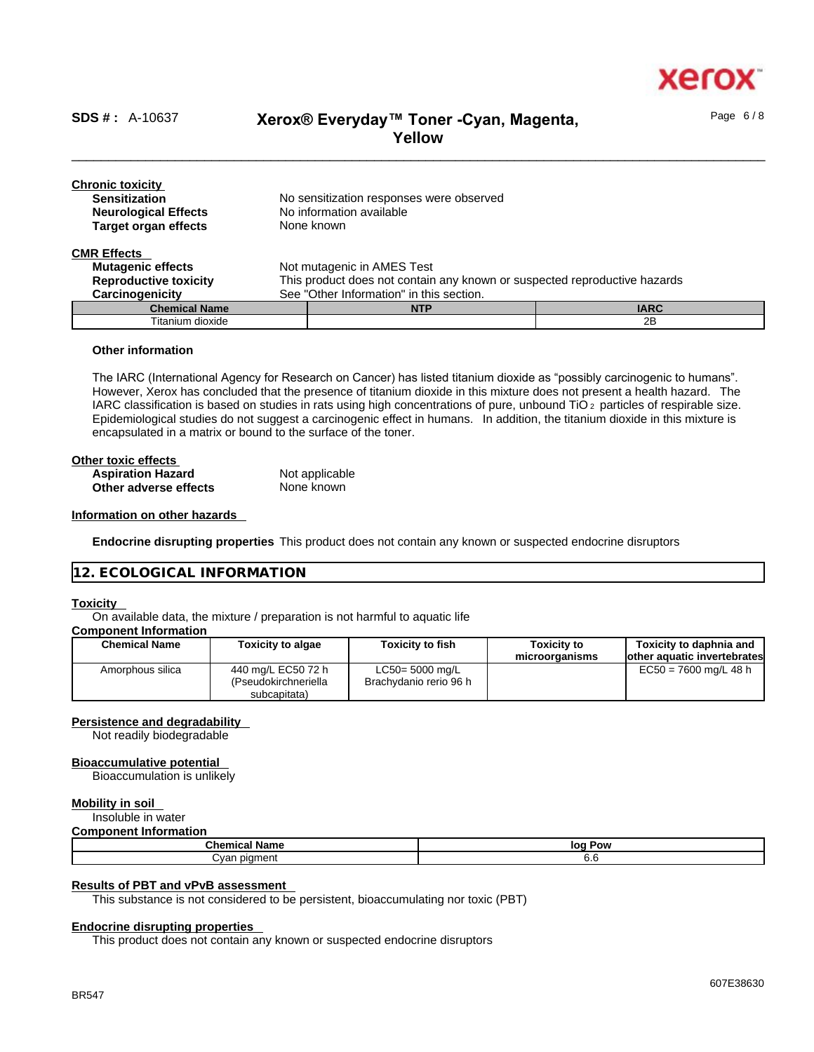

Page 6 / 8

# \_\_\_\_\_\_\_\_\_\_\_\_\_\_\_\_\_\_\_\_\_\_\_\_\_\_\_\_\_\_\_\_\_\_\_\_\_\_\_\_\_\_\_\_\_\_\_\_\_\_\_\_\_\_\_\_\_\_\_\_\_\_\_\_\_\_\_\_\_\_\_\_\_\_\_\_\_\_\_\_\_\_\_\_\_\_\_\_\_\_\_\_\_\_ **SDS # :** A-10637 **Xerox® Everyday™ Toner -Cyan, Magenta, Yellow**

| <b>Chronic toxicity</b><br><b>Sensitization</b><br><b>Neurological Effects</b> | No sensitization responses were observed<br>No information available      |             |  |
|--------------------------------------------------------------------------------|---------------------------------------------------------------------------|-------------|--|
| <b>Target organ effects</b>                                                    | None known                                                                |             |  |
| <b>CMR Effects</b>                                                             |                                                                           |             |  |
| <b>Mutagenic effects</b>                                                       | Not mutagenic in AMES Test                                                |             |  |
| <b>Reproductive toxicity</b>                                                   | This product does not contain any known or suspected reproductive hazards |             |  |
| Carcinogenicity                                                                | See "Other Information" in this section.                                  |             |  |
| <b>Chemical Name</b>                                                           | <b>NTP</b>                                                                | <b>IARC</b> |  |

Titanium dioxide 2B

# **Other information**

The IARC (International Agency for Research on Cancer) has listed titanium dioxide as "possibly carcinogenic to humans". However, Xerox has concluded that the presence of titanium dioxide in this mixture does not present a health hazard. The IARC classification is based on studies in rats using high concentrations of pure, unbound TiO 2 particles of respirable size. Epidemiological studies do not suggest a carcinogenic effect in humans. In addition, the titanium dioxide in this mixture is encapsulated in a matrix or bound to the surface of the toner.

| Other toxic effects      |                |  |
|--------------------------|----------------|--|
| <b>Aspiration Hazard</b> | Not applicable |  |
| Other adverse effects    | None known     |  |

## **Information on other hazards**

**Endocrine disrupting properties** This product does not contain any known or suspected endocrine disruptors

# **12. ECOLOGICAL INFORMATION**

### **Toxicity**

On available data, the mixture / preparation is not harmful to aquatic life

# **Component Information**

| Chemical Name    | <b>Toxicity to algae</b>                                   | <b>Toxicity to fish</b>                      | <b>Toxicity to</b><br>microorganisms | Toxicity to daphnia and<br>lother aquatic invertebrates |
|------------------|------------------------------------------------------------|----------------------------------------------|--------------------------------------|---------------------------------------------------------|
| Amorphous silica | 440 mg/L EC50 72 h<br>(Pseudokirchneriella<br>subcapitata) | $LC50 = 5000$ mg/L<br>Brachydanio rerio 96 h |                                      | $EC50 = 7600$ mg/L 48 h                                 |

### **Persistence and degradability**

Not readily biodegradable

### **Bioaccumulative potential**

Bioaccumulation is unlikely

# **Mobility in soil**

Insoluble in water **Component Information**

| <u>oomponent monnation</u> |            |  |
|----------------------------|------------|--|
| <b>Chemical Name</b>       | lor<br>Pow |  |
| tvan pigment               | o.o        |  |

## **Results of PBT and vPvB assessment**

This substance is not considered to be persistent, bioaccumulating nor toxic (PBT)

# **Endocrine disrupting properties**

This product does not contain any known or suspected endocrine disruptors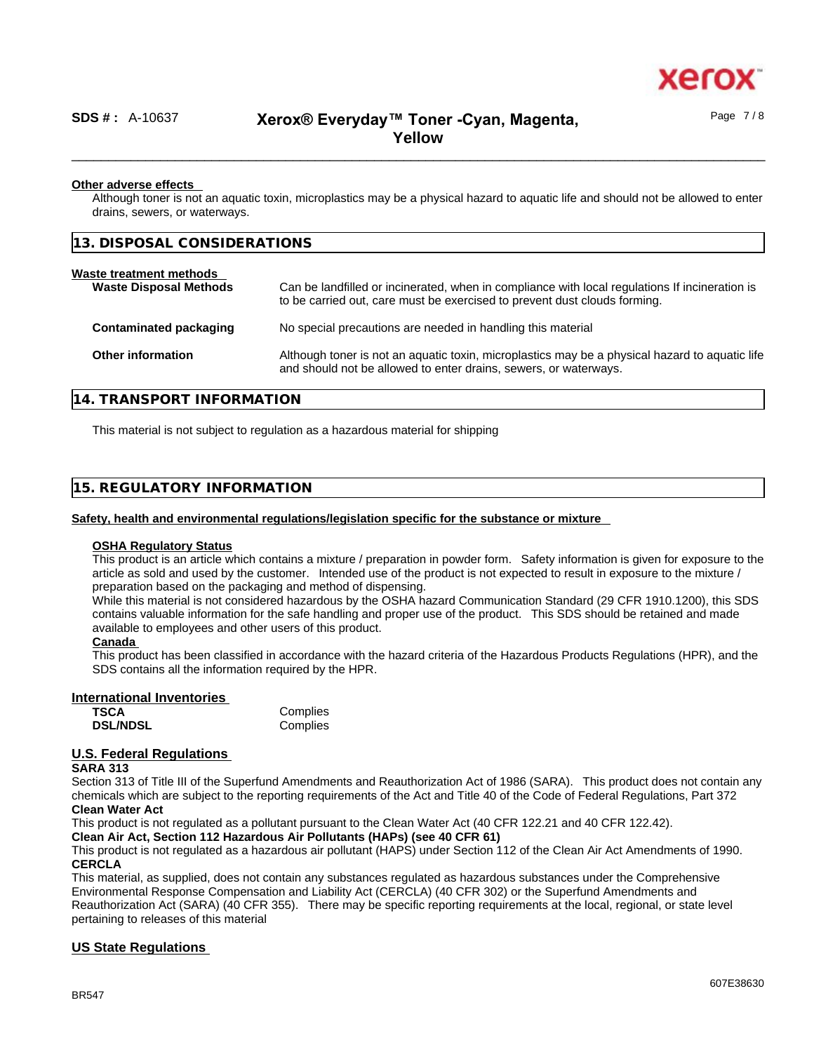

# \_\_\_\_\_\_\_\_\_\_\_\_\_\_\_\_\_\_\_\_\_\_\_\_\_\_\_\_\_\_\_\_\_\_\_\_\_\_\_\_\_\_\_\_\_\_\_\_\_\_\_\_\_\_\_\_\_\_\_\_\_\_\_\_\_\_\_\_\_\_\_\_\_\_\_\_\_\_\_\_\_\_\_\_\_\_\_\_\_\_\_\_\_\_ **SDS # :** A-10637 **Xerox® Everyday™ Toner -Cyan, Magenta, Yellow**

### **Other adverse effects**

Although toner is not an aquatic toxin, microplastics may be a physical hazard to aquatic life and should not be allowed to enter drains, sewers, or waterways.

**13. DISPOSAL CONSIDERATIONS** 

### **Waste treatment methods Waste Disposal Methods** Can be landfilled or incinerated, when in compliance with local regulations If incineration is

|                          | to be carried out, care must be exercised to prevent dust clouds forming.                                                                                          |
|--------------------------|--------------------------------------------------------------------------------------------------------------------------------------------------------------------|
| Contaminated packaging   | No special precautions are needed in handling this material                                                                                                        |
| <b>Other information</b> | Although toner is not an aquatic toxin, microplastics may be a physical hazard to aquatic life<br>and should not be allowed to enter drains, sewers, or waterways. |

# **14. TRANSPORT INFORMATION**

This material is not subject to regulation as a hazardous material for shipping

# **15. REGULATORY INFORMATION**

### **Safety, health and environmental regulations/legislation specific for the substance or mixture**

## **OSHA Regulatory Status**

This product is an article which contains a mixture / preparation in powder form. Safety information is given for exposure to the article as sold and used by the customer. Intended use of the product is not expected to result in exposure to the mixture / preparation based on the packaging and method of dispensing.

While this material is not considered hazardous by the OSHA hazard Communication Standard (29 CFR 1910.1200), this SDS contains valuable information for the safe handling and proper use of the product. This SDS should be retained and made available to employees and other users of this product.

## **Canada**

This product has been classified in accordance with the hazard criteria of the Hazardous Products Regulations (HPR), and the SDS contains all the information required by the HPR.

### **International Inventories**

| <b>TSCA</b>     | Complies |
|-----------------|----------|
| <b>DSL/NDSL</b> | Complies |

# **U.S. Federal Regulations**

### **SARA 313**

Section 313 of Title III of the Superfund Amendments and Reauthorization Act of 1986 (SARA). This product does not contain any chemicals which are subject to the reporting requirements of the Act and Title 40 of the Code of Federal Regulations, Part 372

# **Clean Water Act**

This product is not regulated as a pollutant pursuant to the Clean Water Act (40 CFR 122.21 and 40 CFR 122.42).

## **Clean Air Act,Section 112 Hazardous Air Pollutants (HAPs) (see 40 CFR 61)**

This product is not regulated as a hazardous air pollutant (HAPS) under Section 112 of the Clean Air Act Amendments of 1990. **CERCLA**

This material, as supplied, does not contain any substances regulated as hazardous substances under the Comprehensive Environmental Response Compensation and Liability Act (CERCLA) (40 CFR 302) or the Superfund Amendments and Reauthorization Act (SARA) (40 CFR 355). There may be specific reporting requirements at the local, regional, or state level pertaining to releases of this material

# **US State Regulations**